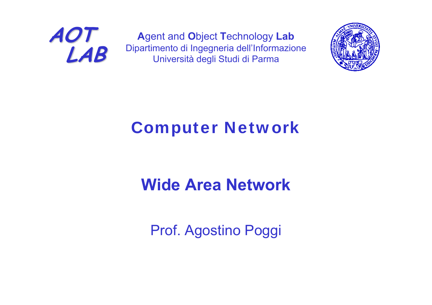

**A**gent and **O**bject **T**echnology **Lab** Dipartimento di Ingegneria dell'Informazione Università degli Studi di Parma



### Computer Network

### **Wide Area Network**

Prof. Agostino Poggi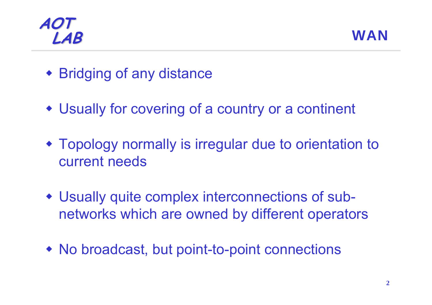



- Bridging of any distance
- Usually for covering of a country or a continent
- Topology normally is irregular due to orientation to current needs
- Usually quite complex interconnections of subnetworks which are owned by different operators
- No broadcast, but point-to-point connections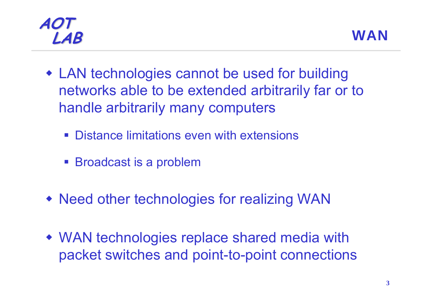



- LAN technologies cannot be used for building networks able to be extended arbitrarily far or to handle arbitrarily many computers
	- $\mathcal{L}^{\text{max}}$ Distance limitations even with extensions
	- Broadcast is a problem
- Need other technologies for realizing WAN
- WAN technologies replace shared media with packet switches and point-to-point connections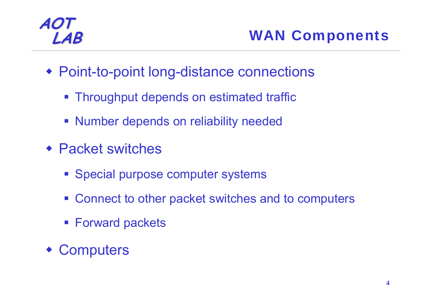### **LAB** WAN Components

- Point-to-point long-distance connections
	- **Throughput depends on estimated traffic**
	- **Number depends on reliability needed**
- Packet switches
	- **Special purpose computer systems**
	- Connect to other packet switches and to computers
	- **Forward packets**
- Computers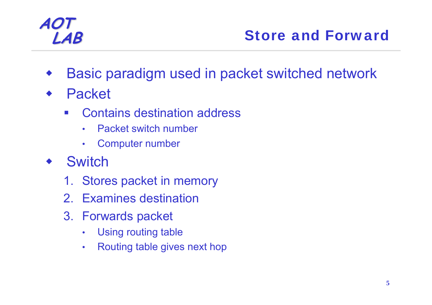### **LAB** Store and Forward

- ♦ Basic paradigm used in packet switched network
- ♦ Packet
	- Contains destination address
		- •Packet switch number
		- $\bullet$ Computer number
- ♦ **Switch** 
	- 1. Stores packet in memory
	- 2. Examines destination
	- 3. Forwards packet
		- •Using routing table
		- $\bullet$ Routing table gives next hop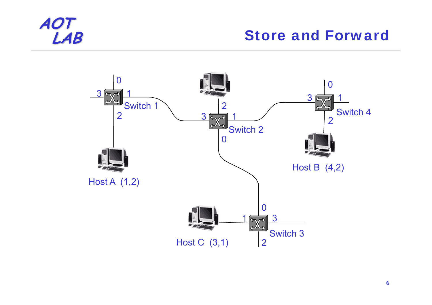#### **Store and Forward**

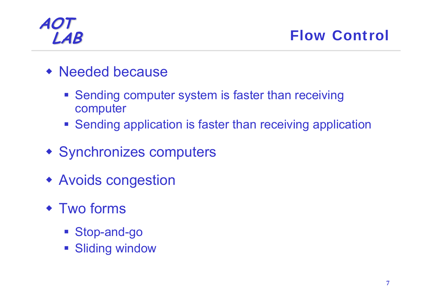**LAB** Flow Control

- Needed because
	- **Sending computer system is faster than receiving** computer
	- **Sending application is faster than receiving application**
- Synchronizes computers
- Avoids congestion
- Two forms
	- Stop-and-go
	- **Sliding window**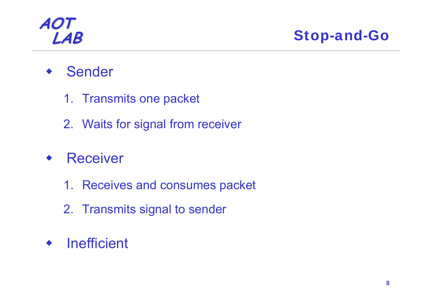**LAB** Stop-and-Go

- ♦ Sender
	- 1. Transmits one packet
	- 2. Waits for signal from receiver
- ♦ **Receiver** 
	- 1. Receives and consumes packet
	- 2. Transmits signal to sender
- ♦ **Inefficient**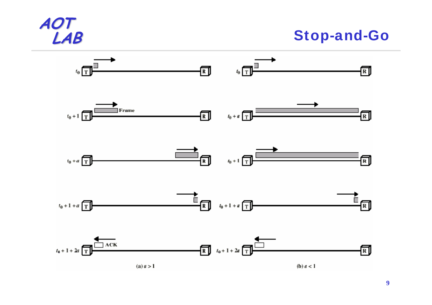

**LAB** Stop-and-Go

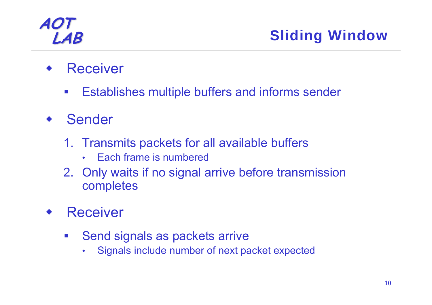- ♦ **Receiver** 
	- $\mathcal{L}^{\text{max}}$ Establishes multiple buffers and informs sender
- ♦ Sender
	- 1. Transmits packets for all available buffers
		- •Each frame is numbered
	- 2. Only waits if no signal arrive before transmission completes
- ♦ **Receiver** 
	- $\mathcal{L}_{\mathcal{A}}$  Send signals as packets arrive
		- $\bullet$ Signals include number of next packet expected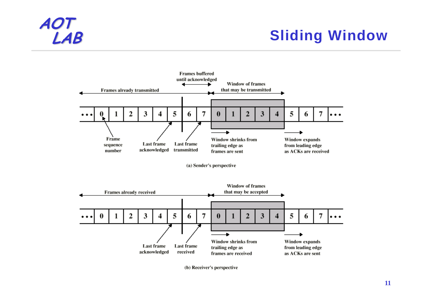### **Sliding Window**



(b) Receiver's perspective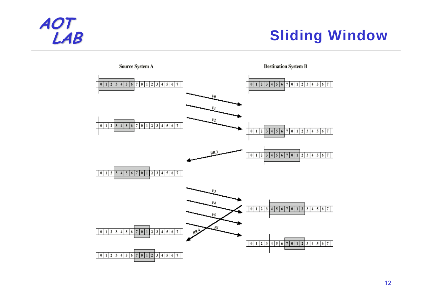

### **Sliding Window**

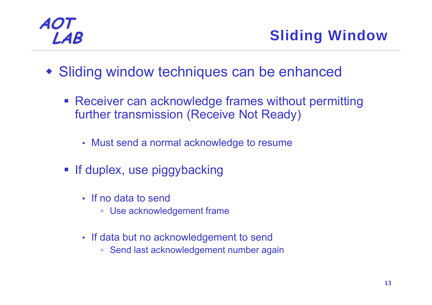**LAB** Sliding Window

- Sliding window techniques can be enhanced
	- **Receiver can acknowledge frames without permitting** further transmission (Receive Not Ready)
		- Must send a normal acknowledge to resume
	- **If duplex, use piggybacking** 
		- If no data to send
			- Use acknowledgement frame
		- If data but no acknowledgement to send
			- Send last acknowledgement number again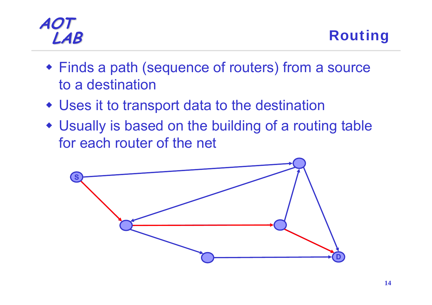- Finds a path (sequence of routers) from a source to a destination
- Uses it to transport data to the destination
- Usually is based on the building of a routing table for each router of the net

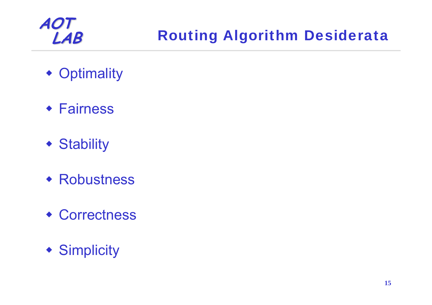### **Routing Algorithm Desiderata**

- Optimality
- Fairness
- Stability
- Robustness
- Correctness
- Simplicity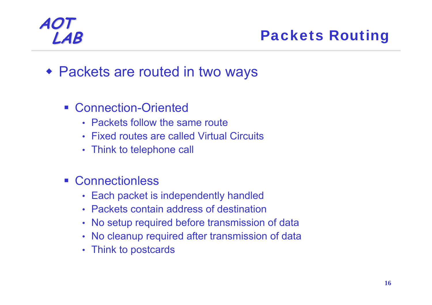### **LAB** Packets Routing

- Packets are routed in two ways
	- Connection-Oriented
		- Packets follow the same route
		- Fixed routes are called Virtual Circuits
		- Think to telephone call
	- Connectionless
		- Each packet is independently handled
		- Packets contain address of destination
		- No setup required before transmission of data
		- No cleanup required after transmission of data
		- Think to postcards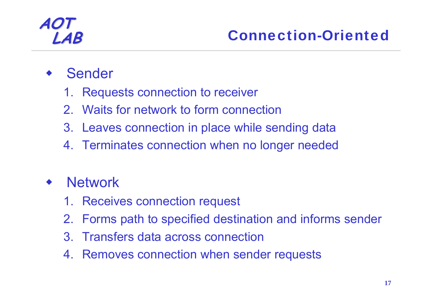- ♦ Sender
	- 1. Requests connection to receiver
	- 2. Waits for network to form connection
	- 3. Leaves connection in place while sending data
	- 4. Terminates connection when no longer needed

#### ♦ **Network**

- 1. Receives connection request
- 2. Forms path to specified destination and informs sender
- 3. Transfers data across connection
- 4. Removes connection when sender requests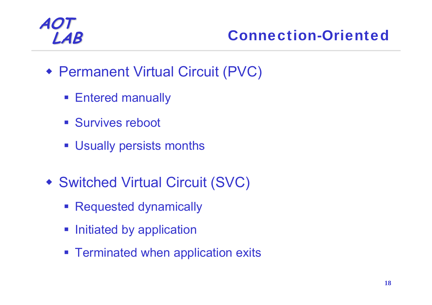### **LAB** Connection-Oriented

- Permanent Virtual Circuit (PVC)
	- **Entered manually**
	- **Survives reboot**
	- Usually persists months
- Switched Virtual Circuit (SVC)
	- **Requested dynamically**
	- **Initiated by application**
	- **Example 2 Ferminated when application exits**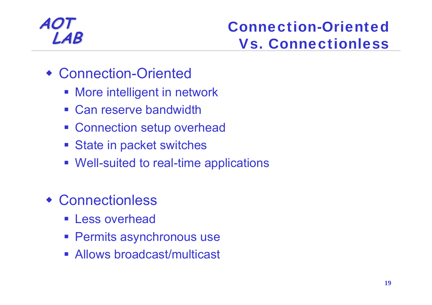# **LAB** Connection-Oriented<br>
Vs. Connectionless

- Connection-Oriented
	- **More intelligent in network**
	- **Can reserve bandwidth**
	- **Example 20 Feature Connection setup overhead**
	- **State in packet switches**
	- Well-suited to real-time applications
- Connectionless
	- **Less overhead**
	- **Permits asynchronous use**
	- Allows broadcast/multicast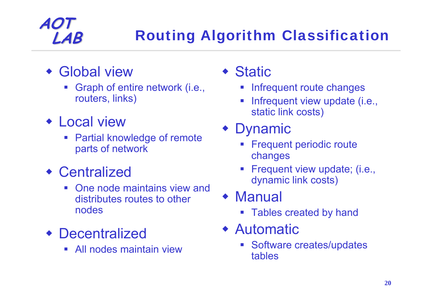### **LAB** Routing Algorithm Classification

Global view

**AOT**

- Graph of entire network (i.e., routers, links)
- Local view
	- **Service Service**  Partial knowledge of remote parts of network
- Centralized
	- **Service Service**  One node maintains view and distributes routes to other nodes
- Decentralized
	- **Service Service** All nodes maintain view

### ◆ Static

- Infrequent route changes
- Infrequent view update (i.e., static link costs)
- Dynamic
	- Frequent periodic route changes
	- Frequent view update; (i.e., dynamic link costs)
- Manual
	- **Service Service** Tables created by hand
- Automatic
	- **Software creates/updates** tables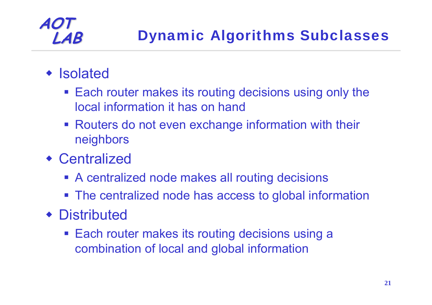### **LAB** Dynamic Algorithms Subclasses

### **• Isolated**

**AOT**

- Each router makes its routing decisions using only the local information it has on hand
- **Routers do not even exchange information with their** neighbors
- Centralized
	- **A centralized node makes all routing decisions**
	- **The centralized node has access to global information**

### Distributed

■ Each router makes its routing decisions using a combination of local and global information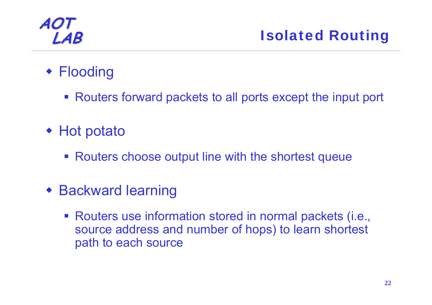### ◆ Flooding

- Routers forward packets to all ports except the input port
- ◆ Hot potato
	- **Routers choose output line with the shortest queue**
- Backward learning
	- Routers use information stored in normal packets (i.e., source address and number of hops) to learn shortest path to each source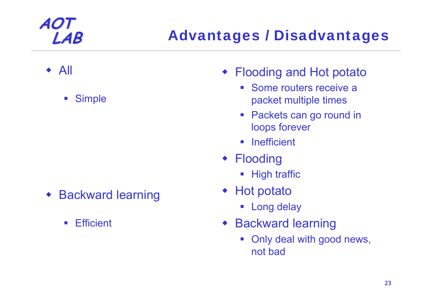### **LAB** Advantages / Disadvantages

- ♦ All
	- $\mathcal{L}_{\mathcal{A}}$ **Simple**

- ♦ Backward learning
	- $\mathcal{L}^{\text{max}}$ **Efficient**
- Flooding and Hot potato
	- $\mathcal{L}_{\mathcal{A}}$  Some routers receive a packet multiple times
	- **Packets can go round in** loops forever
	- $\mathcal{L}_{\mathcal{A}}$ Inefficient
- Flooding
	- **High traffic**
- ◆ Hot potato
	- Long delay
- Backward learning
	- $\mathbb{R}^3$  Only deal with good news, not bad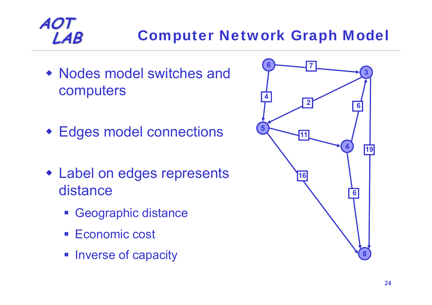### **LAB** Computer Network Graph Model

- Nodes model switches and computers
- Edges model connections
- Label on edges represents distance
	- Geographic distance
	- Economic cost
	- **Inverse of capacity**

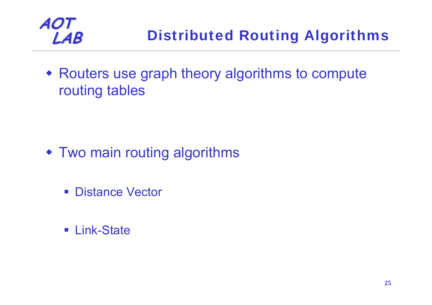

 Routers use graph theory algorithms to compute routing tables

- Two main routing algorithms
	- **Distance Vector**
	- Link-State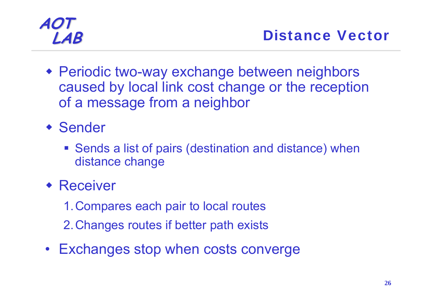- Periodic two-way exchange between neighbors caused by local link cost change or the reception of a message from a neighbor
- Sender
	- Sends a list of pairs (destination and distance) when distance change
- ◆ Receiver
	- 1.Compares each pair to local routes
	- 2.Changes routes if better path exists
- Exchanges stop when costs converge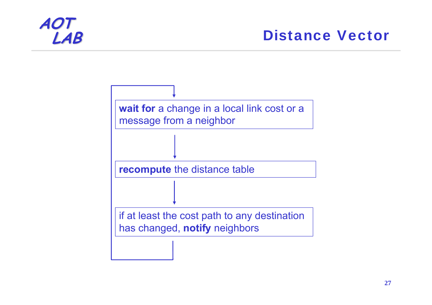# **TO**<br>LAB

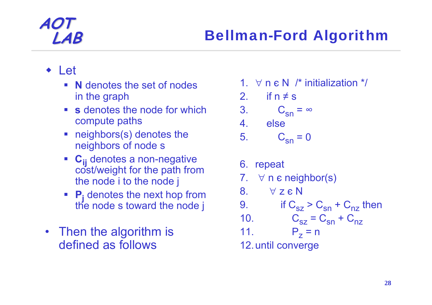#### Let

- **N** denotes the set of nodes in the graph
- **s** denotes the node for which compute paths
- neighbors(s) denotes the neighbors of node s
- C<sub>ii</sub> denotes a non-negative **Cost/weight for the path from** the node i to the node j
- **Pj** denotes the next hop from the node s toward the node j
- Then the algorithm is defined as follows
- 1. ∀ <sup>n</sup>є N /\* initialization \*/
- 2. if  $n \neq s$

$$
3. \qquad C_{\rm sn} = \infty
$$

4.else

$$
5. \qquad C_{\rm sn} = 0
$$

6. repeat 7. ∀ <sup>n</sup><sup>є</sup> neighbor(s) 8. ∀ $\forall$  z  $\epsilon$  N 9..  $\qquad$  if C<sub>sz</sub> > C<sub>sn</sub> + C<sub>nz</sub> then 10. $C_{sz} = C_{sn} + C_{nz}$ 11. Pz $P_{7}$  = n 12.until converge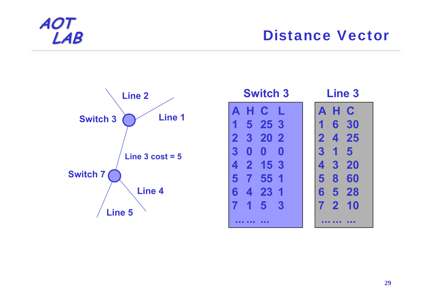

#### **LAB** Distance Vector



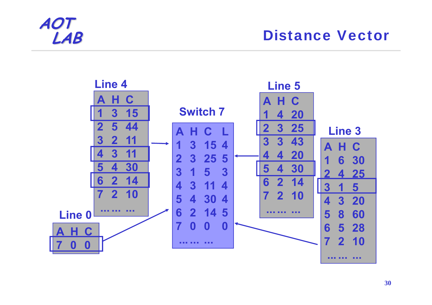

#### **Distance Vector**

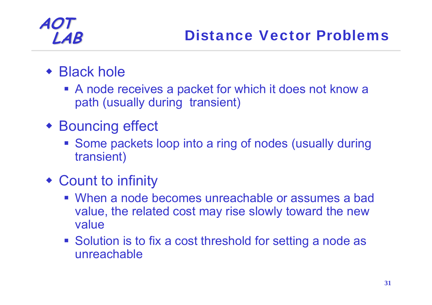- ◆ Black hole
	- A node receives a packet for which it does not know a path (usually during transient)
- Bouncing effect
	- **Some packets loop into a ring of nodes (usually during** transient)
- Count to infinity
	- When a node becomes unreachable or assumes a bad value, the related cost may rise slowly toward the new value
	- **Solution is to fix a cost threshold for setting a node as** unreachable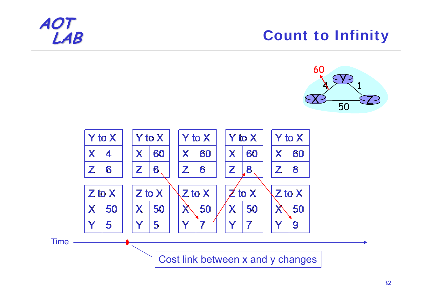### **Count to Infinity**





Cost link between x and y changes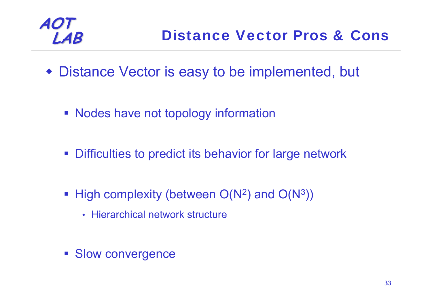

- Distance Vector is easy to be implemented, but
	- **Nodes have not topology information**
	- $\mathcal{L}_{\mathcal{A}}$ Difficulties to predict its behavior for large network
	- **High complexity (between**  $O(N^2)$  **and**  $O(N^3)$ **)** 
		- Hierarchical network structure
	- **Slow convergence**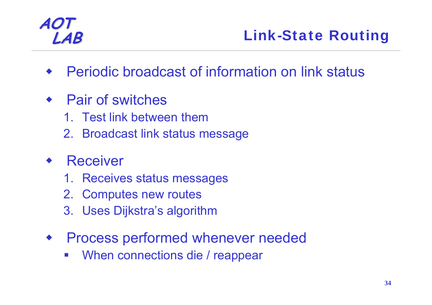### **LAB** Link-State Routing

- ♦ Periodic broadcast of information on link status
- Pair of switches
	- 1. Test link between them
	- 2. Broadcast link status message

#### ♦ Receiver

- 1. Receives status messages
- 2. Computes new routes
- 3. Uses Dijkstra's algorithm
- ♦ Process performed whenever needed
	- When connections die / reappear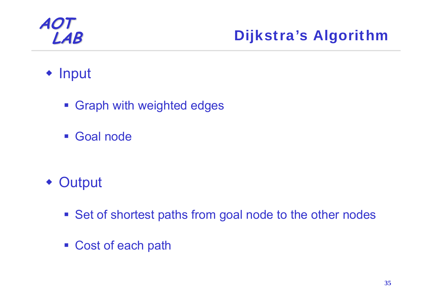### **LAB** Dijkstra's Algorithm

### • Input

- **Graph with weighted edges**
- $\mathcal{L}^{\text{max}}_{\text{max}}$ Goal node

- Output
	- **Set of shortest paths from goal node to the other nodes**
	- Cost of each path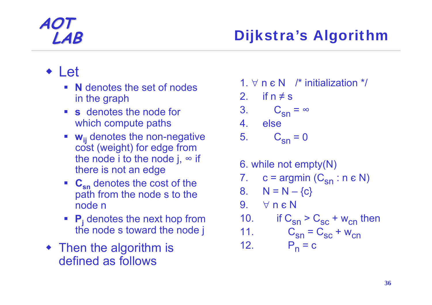### **LAB** Dijkstra's Algorithm

#### Let

- **N** denotes the set of nodes in the graph
- **s** denotes the node for which compute paths
- **wij** denotes the non-negative cost (weight) for edge from the node i to the node j,  $\infty$  if there is not an edge
- **C<sub>sn</sub>** denotes the cost of the path from the node s to the node n
- **Pj** denotes the next hop from the node s toward the node j
- Then the algorithm is defined as follows

1.  $\forall$  <code>n  $\epsilon$  N  $\,$  /\*</code> initialization \*/

2. if  $n \neq s$ 

$$
3. \qquad C_{\rm sn} = \infty
$$

4.else

$$
5. \qquad C_{\rm sn} = 0
$$

6. while not empty(N) 7. c = argmin (C<sub>sn</sub> : n e N) 8. N = N – {c} 9. ∀ n є N10.. if  $C_{\rm sn}$  >  $C_{\rm sc}$  + w<sub>cn</sub> then 11. $C_{\rm sn} = C_{\rm sc} + w_{\rm cn}$ 12. P<sub>n</sub>  $P_n = c$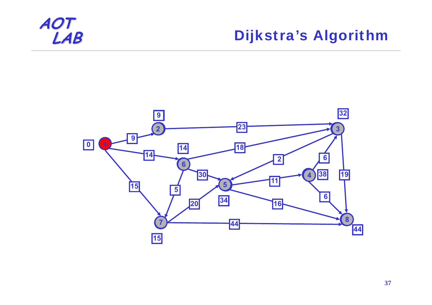

### **Dijkstra's Algorithm**

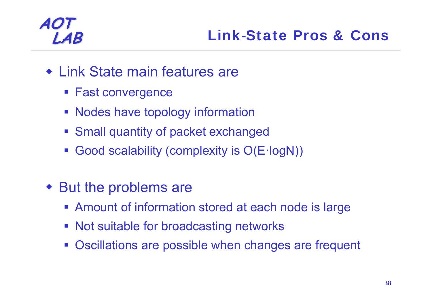### **LAB** Link-State Pros & Cons

- Link State main features are
	- **Fast convergence**
	- **Nodes have topology information**
	- **Small quantity of packet exchanged**
	- Good scalability (complexity is O(E·logN))
- But the problems are
	- Amount of information stored at each node is large
	- **Not suitable for broadcasting networks**
	- **Oscillations are possible when changes are frequent**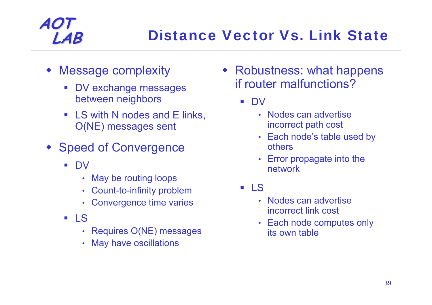- Message complexity
	- DV exchange messages between neighbors
	- LS with N nodes and E links, O(NE) messages sent
- Speed of Convergence
	- $\mathcal{L}_{\mathrm{max}}$  DV
		- •May be routing loops
		- Count-to-infinity problem
		- Convergence time varies
	- **LS** 
		- •Requires O(NE) messages
		- •May have oscillations

 Robustness: what happens if router malfunctions?

> DV

- Nodes can advertise incorrect path cost
- Each node's table used by others
- Error propagate into the network
- LS
	- Nodes can advertise incorrect link cost
	- Each node computes only its own table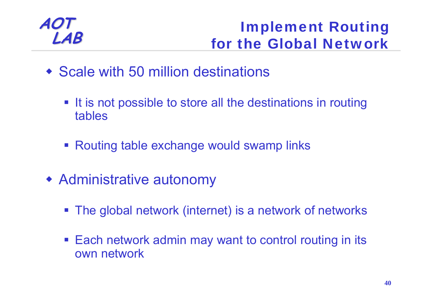# **LAB Implement Routing**<br> **LAB** for the Global Network

- Scale with 50 million destinations
	- **If is not possible to store all the destinations in routing** tables
	- Routing table exchange would swamp links
- Administrative autonomy
	- The global network (internet) is a network of networks
	- Each network admin may want to control routing in its own network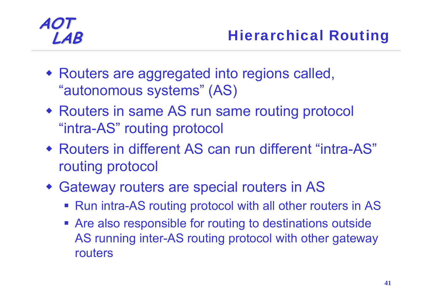- Routers are aggregated into regions called, "autonomous systems" (AS)
- Routers in same AS run same routing protocol "intra-AS" routing protocol
- Routers in different AS can run different "intra-AS" routing protocol
- Gateway routers are special routers in AS
	- Run intra-AS routing protocol with all other routers in AS
	- **Are also responsible for routing to destinations outside** AS running inter-AS routing protocol with other gateway routers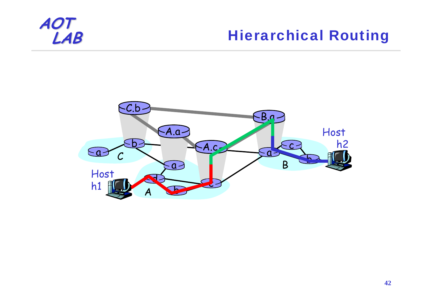

### **Hierarchical Routing**

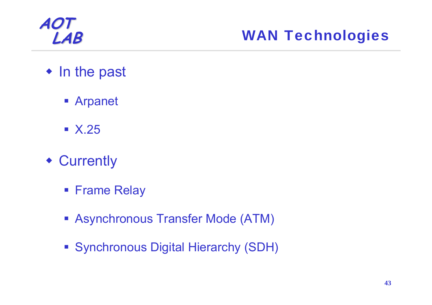

### **LAB** WAN Technologies

- In the past
	- Arpanet
	- $\blacksquare$  X.25
- Currently
	- **Frame Relay**
	- Asynchronous Transfer Mode (ATM)
	- **Synchronous Digital Hierarchy (SDH)**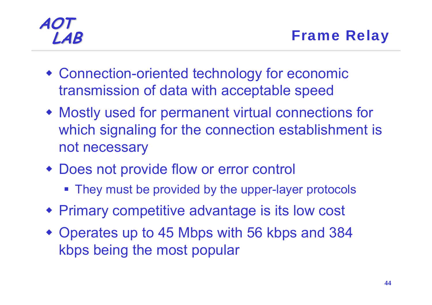- Connection-oriented technology for economic transmission of data with acceptable speed
- Mostly used for permanent virtual connections for which signaling for the connection establishment is not necessary
- Does not provide flow or error control
	- They must be provided by the upper-layer protocols
- Primary competitive advantage is its low cost
- Operates up to 45 Mbps with 56 kbps and 384 kbps being the most popular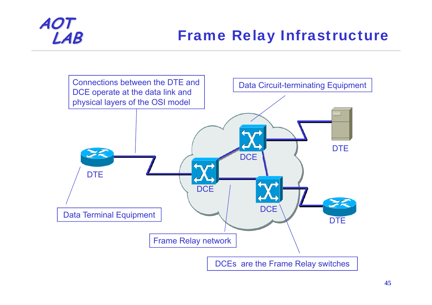### **Frame Relay Infrastructure**

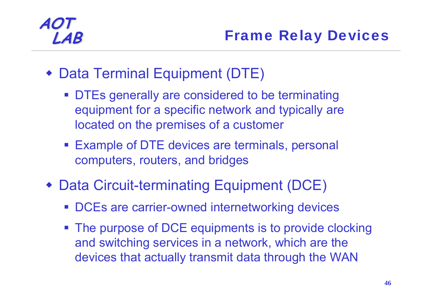- Data Terminal Equipment (DTE)
	- **DTEs generally are considered to be terminating** equipment for a specific network and typically are located on the premises of a customer
	- Example of DTE devices are terminals, personal computers, routers, and bridges
- Data Circuit-terminating Equipment (DCE)
	- **DCEs are carrier-owned internetworking devices**
	- **The purpose of DCE equipments is to provide clocking** and switching services in a network, which are the devices that actually transmit data through the WAN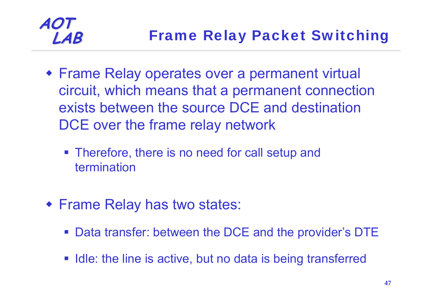

- Frame Relay operates over a permanent virtual circuit, which means that a permanent connection exists between the source DCE and destination DCE over the frame relay network
	- **Therefore, there is no need for call setup and** termination
- Frame Relay has two states:
	- Data transfer: between the DCE and the provider's DTE
	- **If latakeliers** 1 Idle: the line is active, but no data is being transferred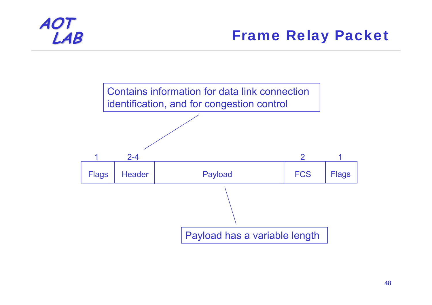

### **Frame Relay Packet**

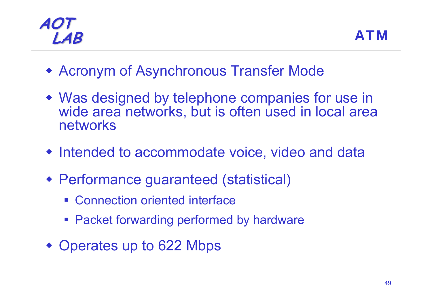

- Acronym of Asynchronous Transfer Mode
- Was designed by telephone companies for use in wide area networks, but is often used in local area networks
- Intended to accommodate voice, video and data
- Performance guaranteed (statistical)
	- Connection oriented interface
	- **Packet forwarding performed by hardware**
- Operates up to 622 Mbps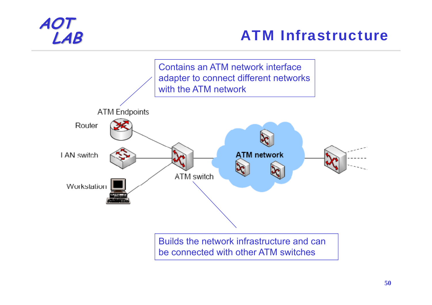### **LAB** ATM Infrastructure

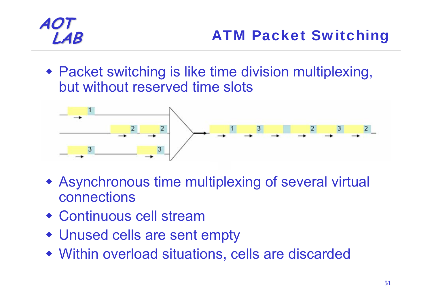Packet switching is like time division multiplexing, but without reserved time slots



- Asynchronous time multiplexing of several virtual connections
- Continuous cell stream
- Unused cells are sent empty
- Within overload situations, cells are discarded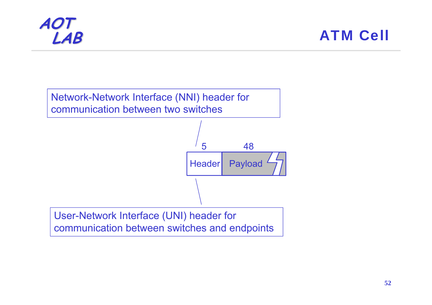

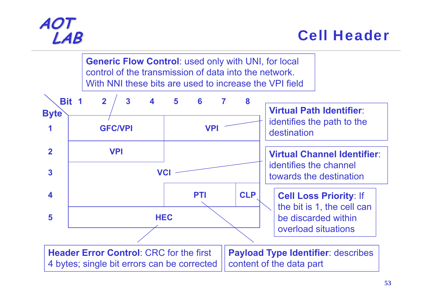

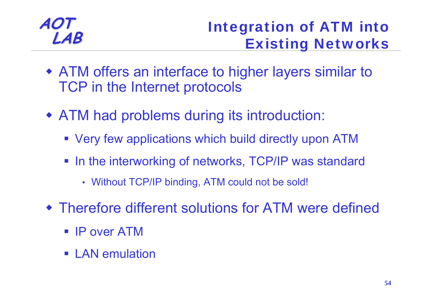# **LAB** Integration of ATM into Existing Networks

- ATM offers an interface to higher layers similar to TCP in the Internet protocols
- ATM had problems during its introduction:
	- Very few applications which build directly upon ATM
	- In the interworking of networks, TCP/IP was standard
		- Without TCP/IP binding, ATM could not be sold!
- Therefore different solutions for ATM were defined
	- $\blacksquare$  IP over ATM
	- LAN emulation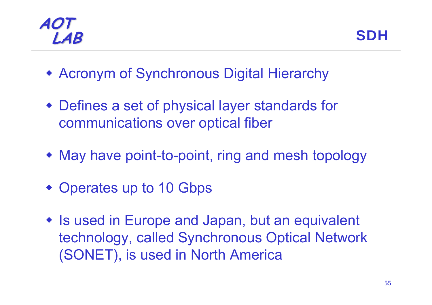#### **AOT LAB** SDH

- Acronym of Synchronous Digital Hierarchy
- Defines a set of physical layer standards for communications over optical fiber
- May have point-to-point, ring and mesh topology
- Operates up to 10 Gbps
- Is used in Europe and Japan, but an equivalent technology, called Synchronous Optical Network (SONET), is used in North America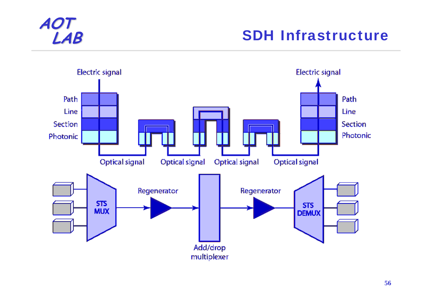

### **SDH Infrastructure**

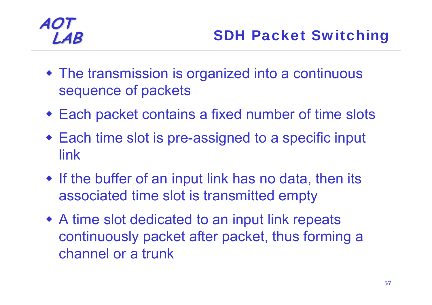- The transmission is organized into a continuous sequence of packets
- Each packet contains a fixed number of time slots
- Each time slot is pre-assigned to a specific input link
- If the buffer of an input link has no data, then its associated time slot is transmitted empty
- A time slot dedicated to an input link repeats continuously packet after packet, thus forming a channel or a trunk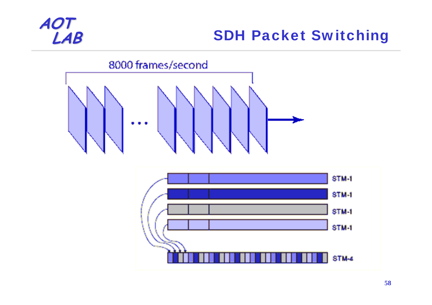

### **SDH Packet Switching**